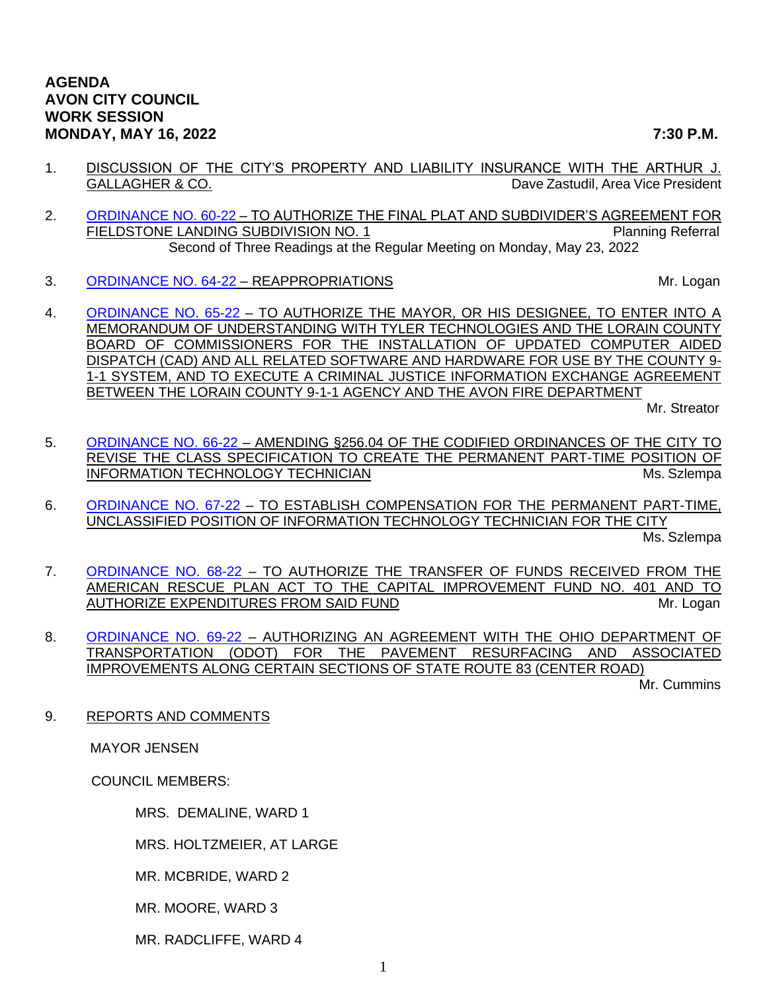- 1. DISCUSSION OF THE CITY'S PROPERTY AND LIABILITY INSURANCE WITH THE ARTHUR J. GALLAGHER & CO. **Dave Zastudil, Area Vice President**
- 2. [ORDINANCE NO. 60-22](https://www.cityofavon.com/DocumentCenter/View/7810/Ordinance-No-60-22-Fieldstone-Auth-SDA--PB) TO AUTHORIZE THE FINAL PLAT AND SUBDIVIDER'S AGREEMENT FOR FIELDSTONE LANDING SUBDIVISION NO. 1 Planning Referral Second of Three Readings at the Regular Meeting on Monday, May 23, 2022
- 3. [ORDINANCE NO. 64-22](https://www.cityofavon.com/DocumentCenter/View/7838/Ordinance-No-64-22---Reappropriations) REAPPROPRIATIONS And the state of the state of the Mr. Logan
- 4. [ORDINANCE NO. 65-22](https://www.cityofavon.com/DocumentCenter/View/7845/Ordinance-No-65-22-FIRE-MOU---CAD-RMS) TO AUTHORIZE THE MAYOR, OR HIS DESIGNEE, TO ENTER INTO A MEMORANDUM OF UNDERSTANDING WITH TYLER TECHNOLOGIES AND THE LORAIN COUNTY BOARD OF COMMISSIONERS FOR THE INSTALLATION OF UPDATED COMPUTER AIDED DISPATCH (CAD) AND ALL RELATED SOFTWARE AND HARDWARE FOR USE BY THE COUNTY 9- 1-1 SYSTEM, AND TO EXECUTE A CRIMINAL JUSTICE INFORMATION EXCHANGE AGREEMENT BETWEEN THE LORAIN COUNTY 9-1-1 AGENCY AND THE AVON FIRE DEPARTMENT

Mr. Streator

- 5. [ORDINANCE NO. 66-22](https://www.cityofavon.com/DocumentCenter/View/7846/Ordinance-No-66-22-Create-Part-time-IT-Technician) AMENDING §256.04 OF THE CODIFIED ORDINANCES OF THE CITY TO REVISE THE CLASS SPECIFICATION TO CREATE THE PERMANENT PART-TIME POSITION OF INFORMATION TECHNOLOGY TECHNICIAN MICHAEL AND THE MS. Szlempa
- 6. [ORDINANCE NO. 67-22](https://www.cityofavon.com/DocumentCenter/View/7847/Ordinance-No-67-22-IT-Tech-PT---Pay) TO ESTABLISH COMPENSATION FOR THE PERMANENT PART-TIME, UNCLASSIFIED POSITION OF INFORMATION TECHNOLOGY TECHNICIAN FOR THE CITY

Ms. Szlempa

- 7. [ORDINANCE NO. 68-22](https://www.cityofavon.com/DocumentCenter/View/7848/Ordinance-No-68-22-ARPA-5-12-22) TO AUTHORIZE THE TRANSFER OF FUNDS RECEIVED FROM THE AMERICAN RESCUE PLAN ACT TO THE CAPITAL IMPROVEMENT FUND NO. 401 AND TO AUTHORIZE EXPENDITURES FROM SAID FUND METAL METAL METAL METAL METAL METAL METAL METAL METAL METAL METAL METAL
- 8. [ORDINANCE NO. 69-22](https://www.cityofavon.com/DocumentCenter/View/7849/Ordinance-No-69-22-ODOT-SR83-Urban-Paving-5-13-22) AUTHORIZING AN AGREEMENT WITH THE OHIO DEPARTMENT OF TRANSPORTATION (ODOT) FOR THE PAVEMENT RESURFACING AND ASSOCIATED IMPROVEMENTS ALONG CERTAIN SECTIONS OF STATE ROUTE 83 (CENTER ROAD)

Mr. Cummins

9. REPORTS AND COMMENTS

MAYOR JENSEN

COUNCIL MEMBERS:

MRS. DEMALINE, WARD 1

MRS. HOLTZMEIER, AT LARGE

MR. MCBRIDE, WARD 2

MR. MOORE, WARD 3

MR. RADCLIFFE, WARD 4